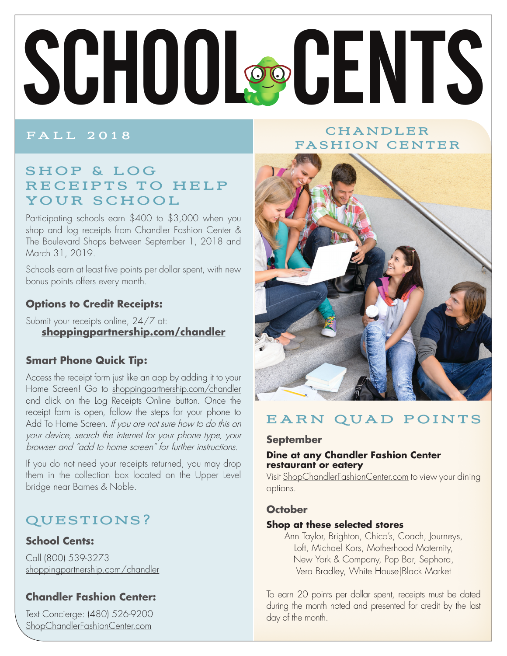# SCHOOL@CENTS

### **FALL 2018**

## CHANDLER **FASHION CENTER**

# SHOP & LOG RECEIPTS TO HELP YOUR SCHOOL

Participating schools earn \$400 to \$3,000 when you shop and log receipts from Chandler Fashion Center & The Boulevard Shops between September 1, 2018 and March 31, 2019.

Schools earn at least five points per dollar spent, with new bonus points offers every month.

## **Options to Credit Receipts:**

Submit your receipts online, 24/7 at: shoppingpartnership.com/chandler

### **Smart Phone Quick Tip:**

Access the receipt form just like an app by adding it to your Home Screen! Go to shoppingpartnership.com/chandler and click on the Log Receipts Online button. Once the receipt form is open, follow the steps for your phone to Add To Home Screen. If you are not sure how to do this on your device, search the internet for your phone type, your browser and "add to home screen" for further instructions.

If you do not need your receipts returned, you may drop them in the collection box located on the Upper Level bridge near Barnes & Noble.

# **QUESTIONS?**

### **School Cents:**

Call (800) 539-3273 shoppingpartnership.com/chandler

## **Chandler Fashion Center:**

Text Concierge: (480) 526-9200 ShopChandlerFashionCenter.com



# EARN QUAD POINTS

### **September**

### Dine at any Chandler Fashion Center restaurant or eatery

Visit ShopChandlerFashionCenter.com to view your dining options.

### **October**

### Shop at these selected stores

Ann Taylor, Brighton, Chico's, Coach, Journeys, Loft, Michael Kors, Motherhood Maternity, New York & Company, Pop Bar, Sephora, Vera Bradley, White House Black Market

To earn 20 points per dollar spent, receipts must be dated during the month noted and presented for credit by the last day of the month.